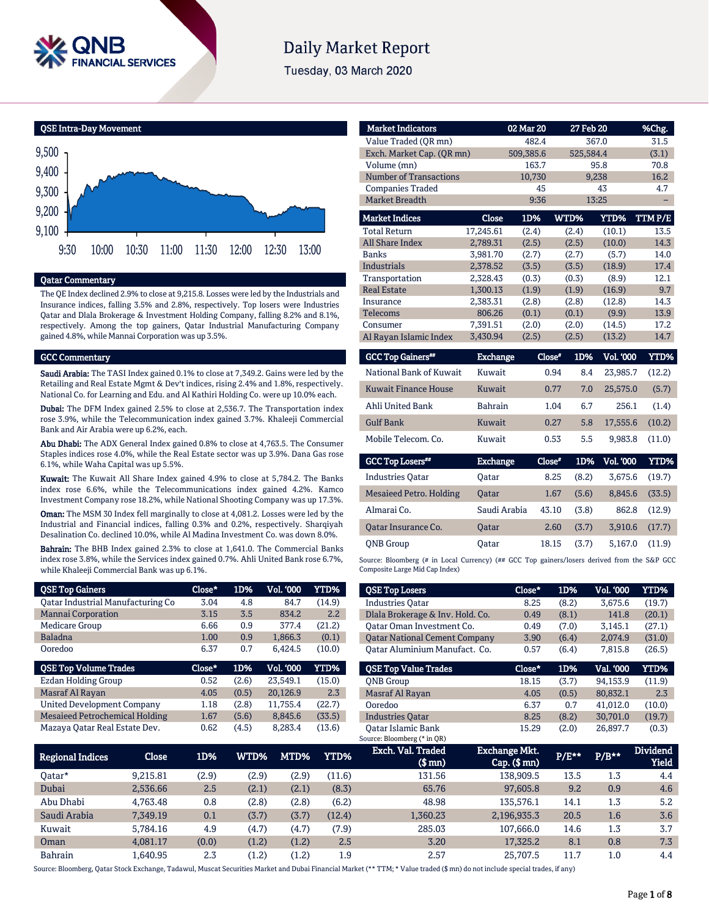

# **Daily Market Report**

Tuesday, 03 March 2020



## Qatar Commentary

The QE Index declined 2.9% to close at 9,215.8. Losses were led by the Industrials and Insurance indices, falling 3.5% and 2.8%, respectively. Top losers were Industries Qatar and Dlala Brokerage & Investment Holding Company, falling 8.2% and 8.1%, respectively. Among the top gainers, Qatar Industrial Manufacturing Company gained 4.8%, while Mannai Corporation was up 3.5%.

## GCC Commentary

Saudi Arabia: The TASI Index gained 0.1% to close at 7,349.2. Gains were led by the Retailing and Real Estate Mgmt & Dev't indices, rising 2.4% and 1.8%, respectively. National Co. for Learning and Edu. and Al Kathiri Holding Co. were up 10.0% each.

Dubai: The DFM Index gained 2.5% to close at 2,536.7. The Transportation index rose 3.9%, while the Telecommunication index gained 3.7%. Khaleeji Commercial Bank and Air Arabia were up 6.2%, each.

Abu Dhabi: The ADX General Index gained 0.8% to close at 4,763.5. The Consumer Staples indices rose 4.0%, while the Real Estate sector was up 3.9%. Dana Gas rose 6.1%, while Waha Capital was up 5.5%.

Kuwait: The Kuwait All Share Index gained 4.9% to close at 5,784.2. The Banks index rose 6.6%, while the Telecommunications index gained 4.2%. Kamco Investment Company rose 18.2%, while National Shooting Company was up 17.3%.

Oman: The MSM 30 Index fell marginally to close at 4,081.2. Losses were led by the Industrial and Financial indices, falling 0.3% and 0.2%, respectively. Sharqiyah Desalination Co. declined 10.0%, while Al Madina Investment Co. was down 8.0%.

Bahrain: The BHB Index gained 2.3% to close at 1,641.0. The Commercial Banks index rose 3.8%, while the Services index gained 0.7%. Ahli United Bank rose 6.7%, while Khaleeji Commercial Bank was up 6.1%.

| <b>OSE Top Gainers</b>                | Close* | 1D%   | <b>Vol. '000</b> | <b>YTD%</b> |
|---------------------------------------|--------|-------|------------------|-------------|
| Oatar Industrial Manufacturing Co     | 3.04   | 4.8   | 84.7             | (14.9)      |
| <b>Mannai Corporation</b>             | 3.15   | 3.5   | 834.2            | 2.2         |
| <b>Medicare Group</b>                 | 6.66   | 0.9   | 377.4            | (21.2)      |
| <b>Baladna</b>                        | 1.00   | 0.9   | 1,866.3          | (0.1)       |
| Ooredoo                               | 6.37   | 0.7   | 6.424.5          | (10.0)      |
|                                       |        |       |                  |             |
| <b>QSE Top Volume Trades</b>          | Close* | 1D%   | <b>Vol. '000</b> | YTD%        |
| <b>Ezdan Holding Group</b>            | 0.52   | (2.6) | 23,549.1         | (15.0)      |
| Masraf Al Rayan                       | 4.05   | (0.5) | 20,126.9         | 2.3         |
| <b>United Development Company</b>     | 1.18   | (2.8) | 11.755.4         | (22.7)      |
| <b>Mesaieed Petrochemical Holding</b> | 1.67   | (5.6) | 8.845.6          | (33.5)      |

| <b>Market Indicators</b>  |           | 02 Mar 20 | 27 Feb 20 |             | %Chg.  |
|---------------------------|-----------|-----------|-----------|-------------|--------|
| Value Traded (OR mn)      |           | 482.4     |           | 367.0       | 31.5   |
| Exch. Market Cap. (QR mn) |           | 509,385.6 | 525,584.4 |             | (3.1)  |
| Volume (mn)               |           | 163.7     |           | 95.8        | 70.8   |
| Number of Transactions    |           | 10,730    |           | 9,238       | 16.2   |
| <b>Companies Traded</b>   |           | 45        |           | 43          | 4.7    |
| <b>Market Breadth</b>     |           | 9:36      |           | 13:25       |        |
| <b>Market Indices</b>     | Close     | 1D%       | WTD%      | <b>YTD%</b> | TTMP/E |
| <b>Total Return</b>       | 17,245.61 | (2.4)     | (2.4)     | (10.1)      | 13.5   |
| <b>All Share Index</b>    | 2,789.31  | (2.5)     | (2.5)     | (10.0)      | 14.3   |
| <b>Banks</b>              | 3,981.70  | (2.7)     | (2.7)     | (5.7)       | 14.0   |
| Industrials               | 2,378.52  | (3.5)     | (3.5)     | (18.9)      | 17.4   |
| Transportation            | 2,328.43  | (0.3)     | (0.3)     | (8.9)       | 12.1   |
| <b>Real Estate</b>        | 1,300.13  | (1.9)     | (1.9)     | (16.9)      | 9.7    |
| Insurance                 | 2,383.31  | (2.8)     | (2.8)     | (12.8)      | 14.3   |
| <b>Telecoms</b>           | 806.26    | (0.1)     | (0.1)     | (9.9)       | 13.9   |
| Consumer                  | 7,391.51  | (2.0)     | (2.0)     | (14.5)      | 17.2   |
| Al Rayan Islamic Index    | 3,430.94  | (2.5)     | (2.5)     | (13.2)      | 14.7   |

| <b>Exchange</b> | Close" |     | Vol. '000 | YTD%   |
|-----------------|--------|-----|-----------|--------|
| Kuwait          | 0.94   | 8.4 | 23.985.7  | (12.2) |
| Kuwait          | 0.77   | 7.0 | 25,575.0  | (5.7)  |
| <b>Bahrain</b>  | 1.04   | 6.7 | 256.1     | (1.4)  |
| Kuwait          | 0.27   | 5.8 | 17,555.6  | (10.2) |
| Kuwait          | 0.53   | 5.5 | 9.983.8   | (11.0) |
|                 |        |     |           | 1D%    |

| <b>GCC Top Losers**</b> | <b>Exchange</b> | Close* | 1D%   | <b>Vol. '000</b> | YTD%   |
|-------------------------|-----------------|--------|-------|------------------|--------|
| <b>Industries Oatar</b> | Oatar           | 8.25   | (8.2) | 3.675.6          | (19.7) |
| Mesaieed Petro. Holding | <b>Oatar</b>    | 1.67   | (5.6) | 8.845.6          | (33.5) |
| Almarai Co.             | Saudi Arabia    | 43.10  | (3.8) | 862.8            | (12.9) |
| Oatar Insurance Co.     | <b>Oatar</b>    | 2.60   | (3.7) | 3.910.6          | (17.7) |
| <b>ONB</b> Group        | Oatar           | 18.15  | (3.7) | 5.167.0          | (11.9) |

Source: Bloomberg (# in Local Currency) (## GCC Top gainers/losers derived from the S&P GCC Composite Large Mid Cap Index)

| <b>QSE Top Losers</b>                | Close* | 1D%   | <b>Vol. '000</b> | YTD%   |
|--------------------------------------|--------|-------|------------------|--------|
| <b>Industries Oatar</b>              | 8.25   | (8.2) | 3,675.6          | (19.7) |
| Dlala Brokerage & Inv. Hold. Co.     | 0.49   | (8.1) | 141.8            | (20.1) |
| Oatar Oman Investment Co.            | 0.49   | (7.0) | 3,145.1          | (27.1) |
| <b>Qatar National Cement Company</b> | 3.90   | (6.4) | 2.074.9          | (31.0) |
| Oatar Aluminium Manufact. Co.        | 0.57   | (6.4) | 7,815.8          | (26.5) |
|                                      |        |       |                  |        |
|                                      |        |       |                  |        |
| <b>OSE Top Value Trades</b>          | Close* | 1D%   | Val. '000        | YTD%   |
| <b>ONB</b> Group                     | 18.15  | (3.7) | 94.153.9         | (11.9) |
| Masraf Al Rayan                      | 4.05   | (0.5) | 80,832.1         | 2.3    |
| Ooredoo                              | 6.37   | 0.7   | 41.012.0         | (10.0) |
| <b>Industries Oatar</b>              | 8.25   | (8.2) | 30,701.0         | (19.7) |

| <b>Regional Indices</b> | Close    | 1D%   | WTD%' | MTD%  | YTD%   | Exch. Val. Traded<br>$$$ mn $)$ | <b>Exchange Mkt.</b><br>$Cap.$ ( $$rm)$ ) | $P/E***$ | $P/B***$ | <b>Dividend</b><br><b>Yield</b> |
|-------------------------|----------|-------|-------|-------|--------|---------------------------------|-------------------------------------------|----------|----------|---------------------------------|
| 0atar*                  | 9.215.81 | (2.9) | (2.9) | (2.9) | (11.6) | 131.56                          | 138.909.5                                 | 13.5     | 1.3      | 4.4                             |
| Dubai                   | 2.536.66 | 2.5   | (2.1) | (2.1) | (8.3)  | 65.76                           | 97,605.8                                  | 9.2      | 0.9      | 4.6                             |
| Abu Dhabi               | 4.763.48 | 0.8   | (2.8) | (2.8) | (6.2)  | 48.98                           | 135.576.1                                 | 14.1     | 1.3      | 5.2                             |
| Saudi Arabia            | 7.349.19 | 0.1   | (3.7) | (3.7) | (12.4) | 1,360.23                        | 2,196,935.3                               | 20.5     | 1.6      | 3.6                             |
| Kuwait                  | 5.784.16 | 4.9   | (4.7) | (4.7) | (7.9)  | 285.03                          | 107.666.0                                 | 14.6     | 1.3      | 3.7                             |
| Oman                    | 4.081.17 | (0.0) | (1.2) | (1.2) | 2.5    | 3.20                            | 17.325.2                                  | 8.1      | 0.8      | 7.3                             |
| Bahrain                 | 1.640.95 | 2.3   | (1.2) | (1.2) | 1.9    | 2.57                            | 25.707.5                                  | 11.7     | 1.0      | 4.4                             |

Source: Bloomberg, Qatar Stock Exchange, Tadawul, Muscat Securities Market and Dubai Financial Market (\*\* TTM; \* Value traded (\$ mn) do not include special trades, if any)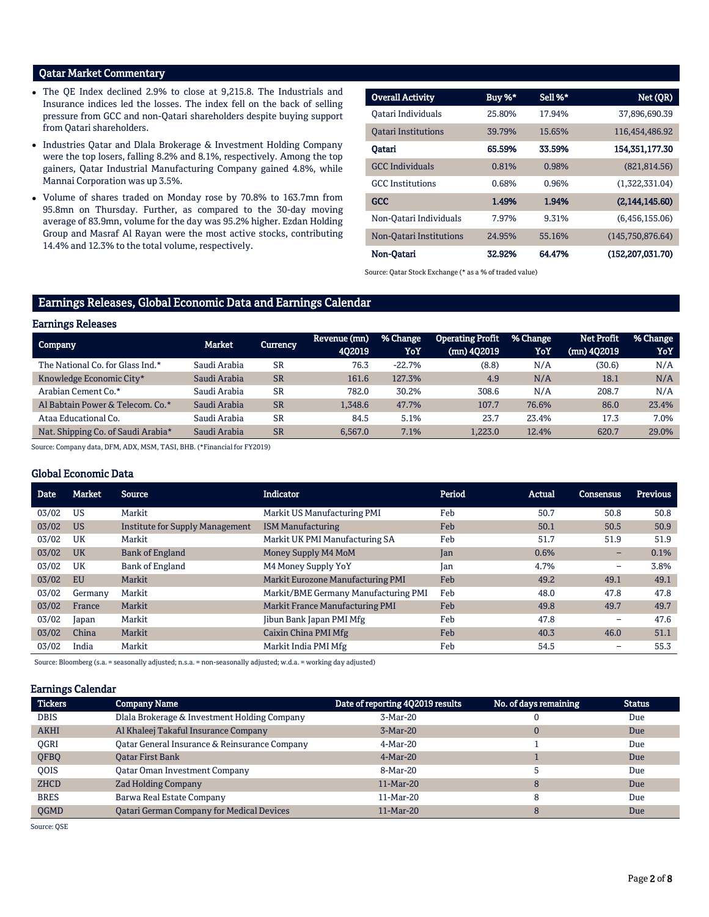## Qatar Market Commentary

- The QE Index declined 2.9% to close at 9,215.8. The Industrials and Insurance indices led the losses. The index fell on the back of selling pressure from GCC and non-Qatari shareholders despite buying support from Qatari shareholders.
- Industries Qatar and Dlala Brokerage & Investment Holding Company were the top losers, falling 8.2% and 8.1%, respectively. Among the top gainers, Qatar Industrial Manufacturing Company gained 4.8%, while Mannai Corporation was up 3.5%.
- Volume of shares traded on Monday rose by 70.8% to 163.7mn from 95.8mn on Thursday. Further, as compared to the 30-day moving average of 83.9mn, volume for the day was 95.2% higher. Ezdan Holding Group and Masraf Al Rayan were the most active stocks, contributing 14.4% and 12.3% to the total volume, respectively.

| <b>Overall Activity</b>    | Buy %* | Sell %* | Net (QR)            |
|----------------------------|--------|---------|---------------------|
| Oatari Individuals         | 25.80% | 17.94%  | 37.896.690.39       |
| <b>Oatari Institutions</b> | 39.79% | 15.65%  | 116,454,486.92      |
| Oatari                     | 65.59% | 33.59%  | 154,351,177.30      |
| <b>GCC</b> Individuals     | 0.81%  | 0.98%   | (821, 814.56)       |
| <b>GCC</b> Institutions    | 0.68%  | 0.96%   | (1,322,331.04)      |
| <b>GCC</b>                 | 1.49%  | 1.94%   | (2,144,145.60)      |
| Non-Oatari Individuals     | 7.97%  | 9.31%   | (6.456.155.06)      |
| Non-Oatari Institutions    | 24.95% | 55.16%  | (145,750,876.64)    |
| Non-Oatari                 | 32.92% | 64.47%  | (152, 207, 031, 70) |

Source: Qatar Stock Exchange (\* as a % of traded value)

## Earnings Releases, Global Economic Data and Earnings Calendar

#### Earnings Releases Company Market Currency Revenue (mn) 4Q2019 % Change YoY Operating Profit (mn) 4Q2019 % Change YoY Net Profit (mn) 4Q2019 % Change YoY The National Co. for Glass Ind.\* Saudi Arabia SR 76.3 -22.7% (8.8) N/A (30.6) N/A Knowledge Economic City\* Saudi Arabia SR 161.6 127.3% 4.9 N/A 18.1 N/A Arabian Cement Co.\* Saudi Arabia SR 782.0 30.2% 308.6 N/A 208.7 N/A Al Babtain Power & Telecom. Co.\* Saudi Arabia SR 1,348.6 47.7% 107.7 76.6% 86.0 23.4% Ataa Educational Co. Saudi Arabia SR 84.5 5.1% 23.7 23.4% 17.3 7.0% Nat. Shipping Co. of Saudi Arabia\* Saudi Arabia SR 6,567.0 7.1% 1,223.0 12.4% 620.7 29.0%

Source: Company data, DFM, ADX, MSM, TASI, BHB. (\*Financial for FY2019)

## Global Economic Data

| <b>Date</b> | <b>Market</b> | <b>Source</b>                   | <b>Indicator</b>                     | Period | <b>Actual</b> | Consensus                | <b>Previous</b> |
|-------------|---------------|---------------------------------|--------------------------------------|--------|---------------|--------------------------|-----------------|
| 03/02       | US            | Markit                          | Markit US Manufacturing PMI          | Feb    | 50.7          | 50.8                     | 50.8            |
| 03/02       | <b>US</b>     | Institute for Supply Management | <b>ISM Manufacturing</b>             | Feb    | 50.1          | 50.5                     | 50.9            |
| 03/02       | UK            | Markit                          | Markit UK PMI Manufacturing SA       | Feb    | 51.7          | 51.9                     | 51.9            |
| 03/02       | <b>UK</b>     | <b>Bank of England</b>          | Money Supply M4 MoM                  | Jan    | 0.6%          | -                        | 0.1%            |
| 03/02       | UK            | Bank of England                 | M4 Money Supply YoY                  | Jan    | 4.7%          | $\overline{\phantom{0}}$ | 3.8%            |
| 03/02       | <b>EU</b>     | Markit                          | Markit Eurozone Manufacturing PMI    | Feb    | 49.2          | 49.1                     | 49.1            |
| 03/02       | Germany       | Markit                          | Markit/BME Germany Manufacturing PMI | Feb    | 48.0          | 47.8                     | 47.8            |
| 03/02       | France        | Markit                          | Markit France Manufacturing PMI      | Feb    | 49.8          | 49.7                     | 49.7            |
| 03/02       | Japan         | Markit                          | Jibun Bank Japan PMI Mfg             | Feb    | 47.8          | $\overline{\phantom{0}}$ | 47.6            |
| 03/02       | China         | Markit                          | Caixin China PMI Mfg                 | Feb    | 40.3          | 46.0                     | 51.1            |
| 03/02       | India         | Markit                          | Markit India PMI Mfg                 | Feb    | 54.5          | -                        | 55.3            |

Source: Bloomberg (s.a. = seasonally adjusted; n.s.a. = non-seasonally adjusted; w.d.a. = working day adjusted)

## Earnings Calendar

| <b>Tickers</b> | <b>Company Name</b>                              | Date of reporting 4Q2019 results | No. of days remaining | <b>Status</b> |
|----------------|--------------------------------------------------|----------------------------------|-----------------------|---------------|
| <b>DBIS</b>    | Dlala Brokerage & Investment Holding Company     | 3-Mar-20                         |                       | Due           |
| <b>AKHI</b>    | Al Khaleej Takaful Insurance Company             | $3-Mar-20$                       |                       | Due           |
| <b>OGRI</b>    | Oatar General Insurance & Reinsurance Company    | 4-Mar-20                         |                       | Due           |
| QFBQ           | <b>Qatar First Bank</b>                          | $4-Mar-20$                       |                       | Due           |
| <b>OOIS</b>    | <b>Qatar Oman Investment Company</b>             | 8-Mar-20                         |                       | Due           |
| <b>ZHCD</b>    | <b>Zad Holding Company</b>                       | $11-Mar-20$                      | 8                     | Due           |
| <b>BRES</b>    | Barwa Real Estate Company                        | 11-Mar-20                        | 8                     | Due           |
| <b>OGMD</b>    | <b>Qatari German Company for Medical Devices</b> | 11-Mar-20                        |                       | Due           |

Source: QSE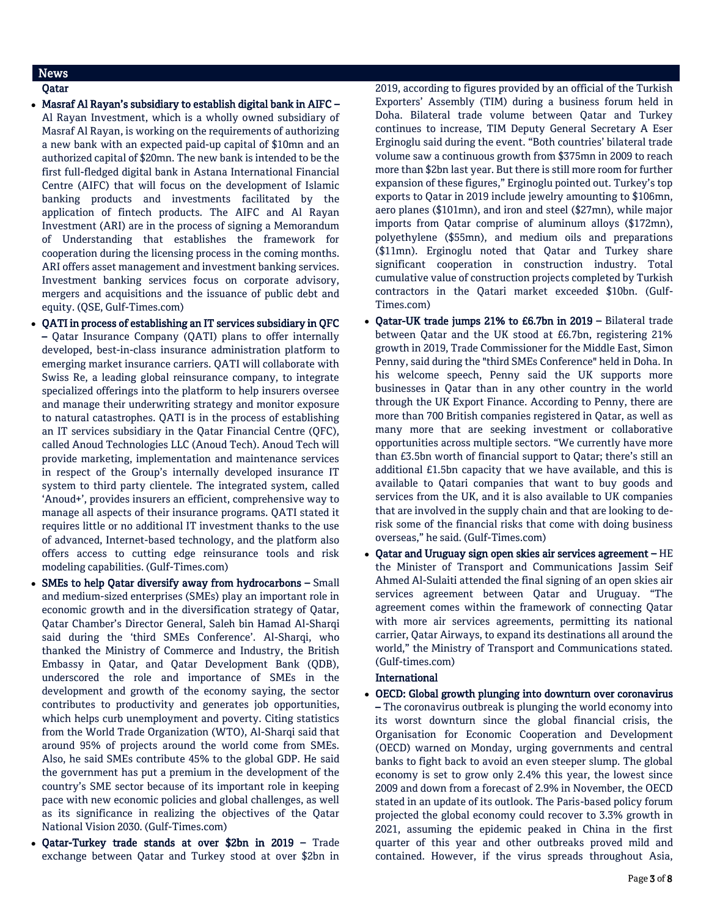## News

## Qatar

- Masraf Al Rayan's subsidiary to establish digital bank in AIFC Al Rayan Investment, which is a wholly owned subsidiary of Masraf Al Rayan, is working on the requirements of authorizing a new bank with an expected paid-up capital of \$10mn and an authorized capital of \$20mn. The new bank is intended to be the first full-fledged digital bank in Astana International Financial Centre (AIFC) that will focus on the development of Islamic banking products and investments facilitated by the application of fintech products. The AIFC and Al Rayan Investment (ARI) are in the process of signing a Memorandum of Understanding that establishes the framework for cooperation during the licensing process in the coming months. ARI offers asset management and investment banking services. Investment banking services focus on corporate advisory, mergers and acquisitions and the issuance of public debt and equity. (QSE, Gulf-Times.com)
- QATI in process of establishing an IT services subsidiary in QFC – Qatar Insurance Company (QATI) plans to offer internally developed, best-in-class insurance administration platform to emerging market insurance carriers. QATI will collaborate with Swiss Re, a leading global reinsurance company, to integrate specialized offerings into the platform to help insurers oversee and manage their underwriting strategy and monitor exposure to natural catastrophes. QATI is in the process of establishing an IT services subsidiary in the Qatar Financial Centre (QFC), called Anoud Technologies LLC (Anoud Tech). Anoud Tech will provide marketing, implementation and maintenance services in respect of the Group's internally developed insurance IT system to third party clientele. The integrated system, called 'Anoud+', provides insurers an efficient, comprehensive way to manage all aspects of their insurance programs. QATI stated it requires little or no additional IT investment thanks to the use of advanced, Internet-based technology, and the platform also offers access to cutting edge reinsurance tools and risk modeling capabilities. (Gulf-Times.com)
- SMEs to help Qatar diversify away from hydrocarbons Small and medium-sized enterprises (SMEs) play an important role in economic growth and in the diversification strategy of Qatar, Qatar Chamber's Director General, Saleh bin Hamad Al-Sharqi said during the 'third SMEs Conference'. Al-Sharqi, who thanked the Ministry of Commerce and Industry, the British Embassy in Qatar, and Qatar Development Bank (QDB), underscored the role and importance of SMEs in the development and growth of the economy saying, the sector contributes to productivity and generates job opportunities, which helps curb unemployment and poverty. Citing statistics from the World Trade Organization (WTO), Al-Sharqi said that around 95% of projects around the world come from SMEs. Also, he said SMEs contribute 45% to the global GDP. He said the government has put a premium in the development of the country's SME sector because of its important role in keeping pace with new economic policies and global challenges, as well as its significance in realizing the objectives of the Qatar National Vision 2030. (Gulf-Times.com)
- Qatar-Turkey trade stands at over \$2bn in 2019 Trade exchange between Qatar and Turkey stood at over \$2bn in

2019, according to figures provided by an official of the Turkish Exporters' Assembly (TIM) during a business forum held in Doha. Bilateral trade volume between Qatar and Turkey continues to increase, TIM Deputy General Secretary A Eser Erginoglu said during the event. "Both countries' bilateral trade volume saw a continuous growth from \$375mn in 2009 to reach more than \$2bn last year. But there is still more room for further expansion of these figures," Erginoglu pointed out. Turkey's top exports to Qatar in 2019 include jewelry amounting to \$106mn, aero planes (\$101mn), and iron and steel (\$27mn), while major imports from Qatar comprise of aluminum alloys (\$172mn), polyethylene (\$55mn), and medium oils and preparations (\$11mn). Erginoglu noted that Qatar and Turkey share significant cooperation in construction industry. Total cumulative value of construction projects completed by Turkish contractors in the Qatari market exceeded \$10bn. (Gulf-Times.com)

- Qatar-UK trade jumps 21% to £6.7bn in 2019 Bilateral trade between Qatar and the UK stood at £6.7bn, registering 21% growth in 2019, Trade Commissioner for the Middle East, Simon Penny, said during the "third SMEs Conference" held in Doha. In his welcome speech, Penny said the UK supports more businesses in Qatar than in any other country in the world through the UK Export Finance. According to Penny, there are more than 700 British companies registered in Qatar, as well as many more that are seeking investment or collaborative opportunities across multiple sectors. "We currently have more than £3.5bn worth of financial support to Qatar; there's still an additional £1.5bn capacity that we have available, and this is available to Qatari companies that want to buy goods and services from the UK, and it is also available to UK companies that are involved in the supply chain and that are looking to derisk some of the financial risks that come with doing business overseas," he said. (Gulf-Times.com)
- Qatar and Uruguay sign open skies air services agreement HE the Minister of Transport and Communications Jassim Seif Ahmed Al-Sulaiti attended the final signing of an open skies air services agreement between Qatar and Uruguay. "The agreement comes within the framework of connecting Qatar with more air services agreements, permitting its national carrier, Qatar Airways, to expand its destinations all around the world," the Ministry of Transport and Communications stated. (Gulf-times.com)

## International

 OECD: Global growth plunging into downturn over coronavirus – The coronavirus outbreak is plunging the world economy into its worst downturn since the global financial crisis, the Organisation for Economic Cooperation and Development (OECD) warned on Monday, urging governments and central banks to fight back to avoid an even steeper slump. The global economy is set to grow only 2.4% this year, the lowest since 2009 and down from a forecast of 2.9% in November, the OECD stated in an update of its outlook. The Paris-based policy forum projected the global economy could recover to 3.3% growth in 2021, assuming the epidemic peaked in China in the first quarter of this year and other outbreaks proved mild and contained. However, if the virus spreads throughout Asia,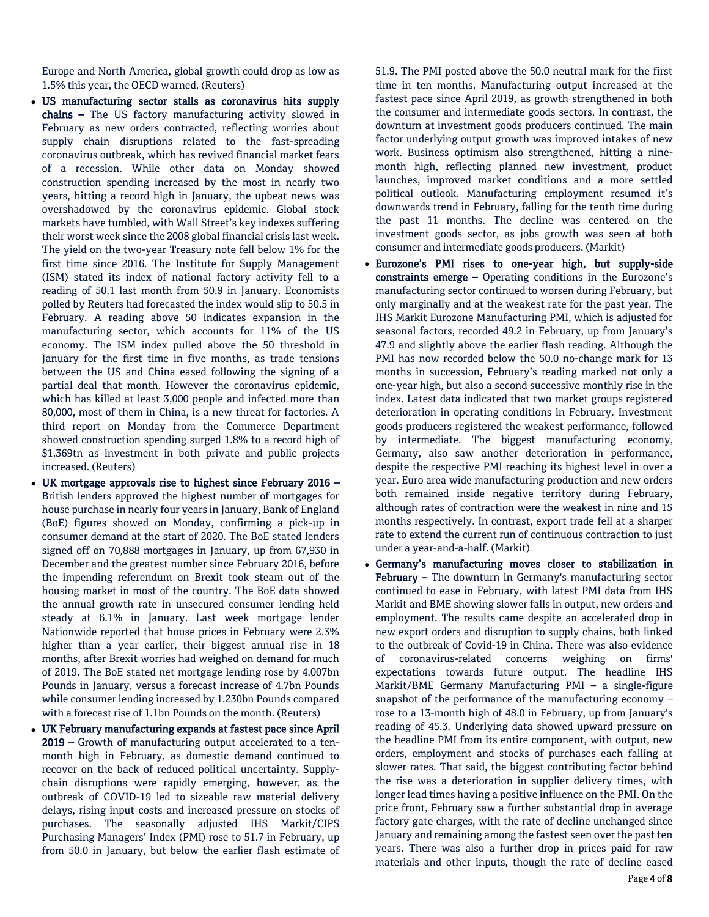Europe and North America, global growth could drop as low as 1.5% this year, the OECD warned. (Reuters)

- US manufacturing sector stalls as coronavirus hits supply chains – The US factory manufacturing activity slowed in February as new orders contracted, reflecting worries about supply chain disruptions related to the fast-spreading coronavirus outbreak, which has revived financial market fears of a recession. While other data on Monday showed construction spending increased by the most in nearly two years, hitting a record high in January, the upbeat news was overshadowed by the coronavirus epidemic. Global stock markets have tumbled, with Wall Street's key indexes suffering their worst week since the 2008 global financial crisis last week. The yield on the two-year Treasury note fell below 1% for the first time since 2016. The Institute for Supply Management (ISM) stated its index of national factory activity fell to a reading of 50.1 last month from 50.9 in January. Economists polled by Reuters had forecasted the index would slip to 50.5 in February. A reading above 50 indicates expansion in the manufacturing sector, which accounts for 11% of the US economy. The ISM index pulled above the 50 threshold in January for the first time in five months, as trade tensions between the US and China eased following the signing of a partial deal that month. However the coronavirus epidemic, which has killed at least 3,000 people and infected more than 80,000, most of them in China, is a new threat for factories. A third report on Monday from the Commerce Department showed construction spending surged 1.8% to a record high of \$1.369tn as investment in both private and public projects increased. (Reuters)
- UK mortgage approvals rise to highest since February 2016 British lenders approved the highest number of mortgages for house purchase in nearly four years in January, Bank of England (BoE) figures showed on Monday, confirming a pick-up in consumer demand at the start of 2020. The BoE stated lenders signed off on 70,888 mortgages in January, up from 67,930 in December and the greatest number since February 2016, before the impending referendum on Brexit took steam out of the housing market in most of the country. The BoE data showed the annual growth rate in unsecured consumer lending held steady at 6.1% in January. Last week mortgage lender Nationwide reported that house prices in February were 2.3% higher than a year earlier, their biggest annual rise in 18 months, after Brexit worries had weighed on demand for much of 2019. The BoE stated net mortgage lending rose by 4.007bn Pounds in January, versus a forecast increase of 4.7bn Pounds while consumer lending increased by 1.230bn Pounds compared with a forecast rise of 1.1bn Pounds on the month. (Reuters)
- UK February manufacturing expands at fastest pace since April 2019 – Growth of manufacturing output accelerated to a tenmonth high in February, as domestic demand continued to recover on the back of reduced political uncertainty. Supplychain disruptions were rapidly emerging, however, as the outbreak of COVID-19 led to sizeable raw material delivery delays, rising input costs and increased pressure on stocks of purchases. The seasonally adjusted IHS Markit/CIPS Purchasing Managers' Index (PMI) rose to 51.7 in February, up from 50.0 in January, but below the earlier flash estimate of

51.9. The PMI posted above the 50.0 neutral mark for the first time in ten months. Manufacturing output increased at the fastest pace since April 2019, as growth strengthened in both the consumer and intermediate goods sectors. In contrast, the downturn at investment goods producers continued. The main factor underlying output growth was improved intakes of new work. Business optimism also strengthened, hitting a ninemonth high, reflecting planned new investment, product launches, improved market conditions and a more settled political outlook. Manufacturing employment resumed it's downwards trend in February, falling for the tenth time during the past 11 months. The decline was centered on the investment goods sector, as jobs growth was seen at both consumer and intermediate goods producers. (Markit)

- Eurozone's PMI rises to one-year high, but supply-side constraints emerge – Operating conditions in the Eurozone's manufacturing sector continued to worsen during February, but only marginally and at the weakest rate for the past year. The IHS Markit Eurozone Manufacturing PMI, which is adjusted for seasonal factors, recorded 49.2 in February, up from January's 47.9 and slightly above the earlier flash reading. Although the PMI has now recorded below the 50.0 no-change mark for 13 months in succession, February's reading marked not only a one-year high, but also a second successive monthly rise in the index. Latest data indicated that two market groups registered deterioration in operating conditions in February. Investment goods producers registered the weakest performance, followed by intermediate. The biggest manufacturing economy, Germany, also saw another deterioration in performance, despite the respective PMI reaching its highest level in over a year. Euro area wide manufacturing production and new orders both remained inside negative territory during February, although rates of contraction were the weakest in nine and 15 months respectively. In contrast, export trade fell at a sharper rate to extend the current run of continuous contraction to just under a year-and-a-half. (Markit)
- Germany's manufacturing moves closer to stabilization in February – The downturn in Germany's manufacturing sector continued to ease in February, with latest PMI data from IHS Markit and BME showing slower falls in output, new orders and employment. The results came despite an accelerated drop in new export orders and disruption to supply chains, both linked to the outbreak of Covid-19 in China. There was also evidence of coronavirus-related concerns weighing on firms' expectations towards future output. The headline IHS Markit/BME Germany Manufacturing PMI – a single-figure snapshot of the performance of the manufacturing economy – rose to a 13-month high of 48.0 in February, up from January's reading of 45.3. Underlying data showed upward pressure on the headline PMI from its entire component, with output, new orders, employment and stocks of purchases each falling at slower rates. That said, the biggest contributing factor behind the rise was a deterioration in supplier delivery times, with longer lead times having a positive influence on the PMI. On the price front, February saw a further substantial drop in average factory gate charges, with the rate of decline unchanged since January and remaining among the fastest seen over the past ten years. There was also a further drop in prices paid for raw materials and other inputs, though the rate of decline eased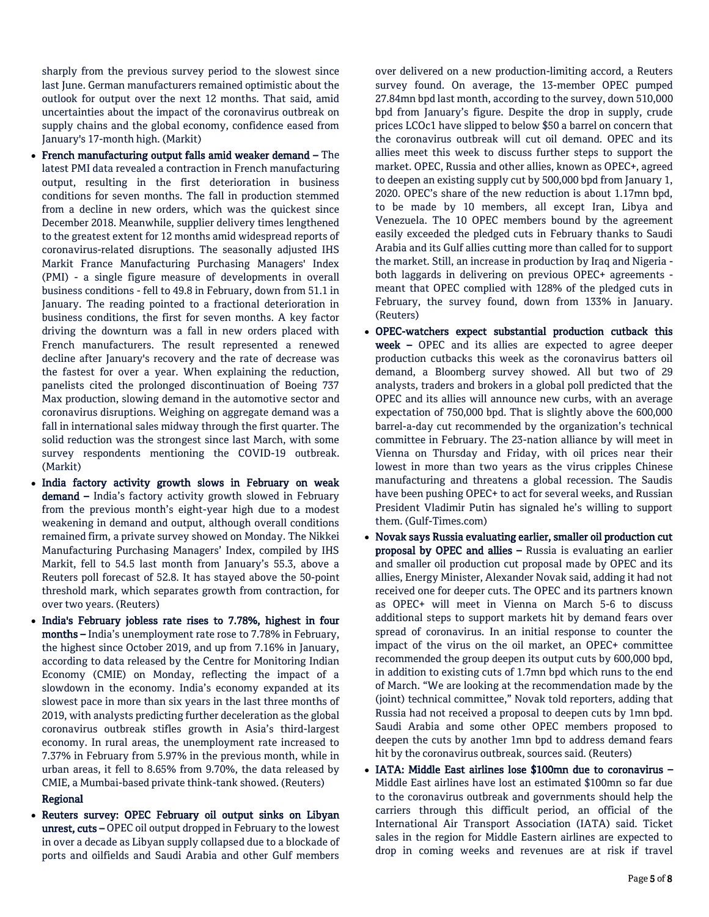sharply from the previous survey period to the slowest since last June. German manufacturers remained optimistic about the outlook for output over the next 12 months. That said, amid uncertainties about the impact of the coronavirus outbreak on supply chains and the global economy, confidence eased from January's 17-month high. (Markit)

- French manufacturing output falls amid weaker demand The latest PMI data revealed a contraction in French manufacturing output, resulting in the first deterioration in business conditions for seven months. The fall in production stemmed from a decline in new orders, which was the quickest since December 2018. Meanwhile, supplier delivery times lengthened to the greatest extent for 12 months amid widespread reports of coronavirus-related disruptions. The seasonally adjusted IHS Markit France Manufacturing Purchasing Managers' Index (PMI) - a single figure measure of developments in overall business conditions - fell to 49.8 in February, down from 51.1 in January. The reading pointed to a fractional deterioration in business conditions, the first for seven months. A key factor driving the downturn was a fall in new orders placed with French manufacturers. The result represented a renewed decline after January's recovery and the rate of decrease was the fastest for over a year. When explaining the reduction, panelists cited the prolonged discontinuation of Boeing 737 Max production, slowing demand in the automotive sector and coronavirus disruptions. Weighing on aggregate demand was a fall in international sales midway through the first quarter. The solid reduction was the strongest since last March, with some survey respondents mentioning the COVID-19 outbreak. (Markit)
- India factory activity growth slows in February on weak demand - India's factory activity growth slowed in February from the previous month's eight-year high due to a modest weakening in demand and output, although overall conditions remained firm, a private survey showed on Monday. The Nikkei Manufacturing Purchasing Managers' Index, compiled by IHS Markit, fell to 54.5 last month from January's 55.3, above a Reuters poll forecast of 52.8. It has stayed above the 50-point threshold mark, which separates growth from contraction, for over two years. (Reuters)
- India's February jobless rate rises to 7.78%, highest in four months – India's unemployment rate rose to 7.78% in February, the highest since October 2019, and up from 7.16% in January, according to data released by the Centre for Monitoring Indian Economy (CMIE) on Monday, reflecting the impact of a slowdown in the economy. India's economy expanded at its slowest pace in more than six years in the last three months of 2019, with analysts predicting further deceleration as the global coronavirus outbreak stifles growth in Asia's third-largest economy. In rural areas, the unemployment rate increased to 7.37% in February from 5.97% in the previous month, while in urban areas, it fell to 8.65% from 9.70%, the data released by CMIE, a Mumbai-based private think-tank showed. (Reuters)

## Regional

 Reuters survey: OPEC February oil output sinks on Libyan unrest, cuts – OPEC oil output dropped in February to the lowest in over a decade as Libyan supply collapsed due to a blockade of ports and oilfields and Saudi Arabia and other Gulf members

over delivered on a new production-limiting accord, a Reuters survey found. On average, the 13-member OPEC pumped 27.84mn bpd last month, according to the survey, down 510,000 bpd from January's figure. Despite the drop in supply, crude prices LCOc1 have slipped to below \$50 a barrel on concern that the coronavirus outbreak will cut oil demand. OPEC and its allies meet this week to discuss further steps to support the market. OPEC, Russia and other allies, known as OPEC+, agreed to deepen an existing supply cut by 500,000 bpd from January 1, 2020. OPEC's share of the new reduction is about 1.17mn bpd, to be made by 10 members, all except Iran, Libya and Venezuela. The 10 OPEC members bound by the agreement easily exceeded the pledged cuts in February thanks to Saudi Arabia and its Gulf allies cutting more than called for to support the market. Still, an increase in production by Iraq and Nigeria both laggards in delivering on previous OPEC+ agreements meant that OPEC complied with 128% of the pledged cuts in February, the survey found, down from 133% in January. (Reuters)

- OPEC-watchers expect substantial production cutback this week - OPEC and its allies are expected to agree deeper production cutbacks this week as the coronavirus batters oil demand, a Bloomberg survey showed. All but two of 29 analysts, traders and brokers in a global poll predicted that the OPEC and its allies will announce new curbs, with an average expectation of 750,000 bpd. That is slightly above the 600,000 barrel-a-day cut recommended by the organization's technical committee in February. The 23-nation alliance by will meet in Vienna on Thursday and Friday, with oil prices near their lowest in more than two years as the virus cripples Chinese manufacturing and threatens a global recession. The Saudis have been pushing OPEC+ to act for several weeks, and Russian President Vladimir Putin has signaled he's willing to support them. (Gulf-Times.com)
- Novak says Russia evaluating earlier, smaller oil production cut proposal by OPEC and allies – Russia is evaluating an earlier and smaller oil production cut proposal made by OPEC and its allies, Energy Minister, Alexander Novak said, adding it had not received one for deeper cuts. The OPEC and its partners known as OPEC+ will meet in Vienna on March 5-6 to discuss additional steps to support markets hit by demand fears over spread of coronavirus. In an initial response to counter the impact of the virus on the oil market, an OPEC+ committee recommended the group deepen its output cuts by 600,000 bpd, in addition to existing cuts of 1.7mn bpd which runs to the end of March. "We are looking at the recommendation made by the (joint) technical committee," Novak told reporters, adding that Russia had not received a proposal to deepen cuts by 1mn bpd. Saudi Arabia and some other OPEC members proposed to deepen the cuts by another 1mn bpd to address demand fears hit by the coronavirus outbreak, sources said. (Reuters)
- IATA: Middle East airlines lose \$100mn due to coronavirus Middle East airlines have lost an estimated \$100mn so far due to the coronavirus outbreak and governments should help the carriers through this difficult period, an official of the International Air Transport Association (IATA) said. Ticket sales in the region for Middle Eastern airlines are expected to drop in coming weeks and revenues are at risk if travel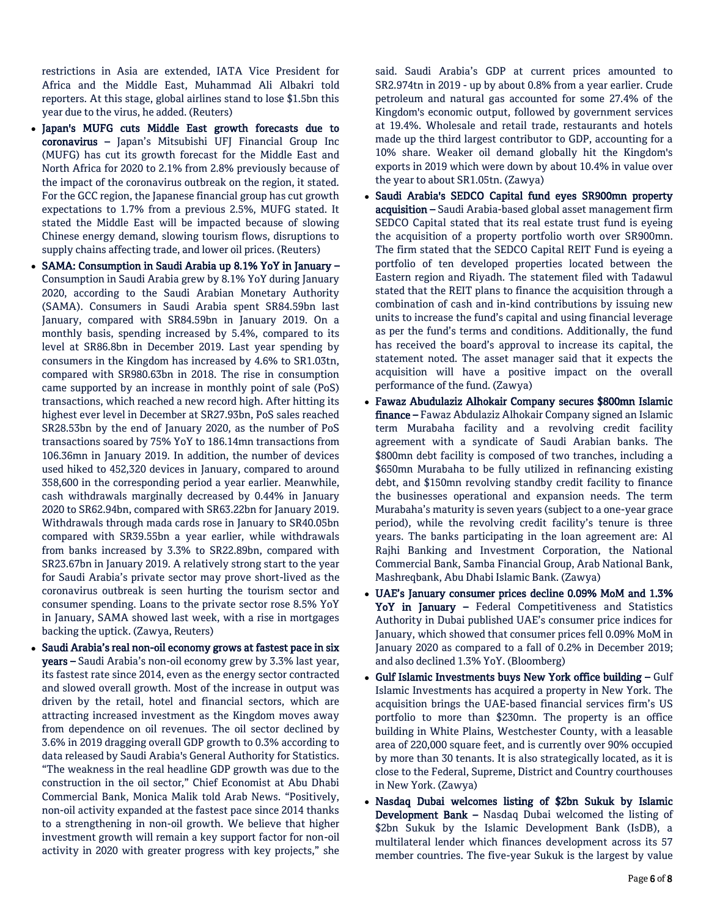restrictions in Asia are extended, IATA Vice President for Africa and the Middle East, Muhammad Ali Albakri told reporters. At this stage, global airlines stand to lose \$1.5bn this year due to the virus, he added. (Reuters)

- Japan's MUFG cuts Middle East growth forecasts due to coronavirus – Japan's Mitsubishi UFJ Financial Group Inc (MUFG) has cut its growth forecast for the Middle East and North Africa for 2020 to 2.1% from 2.8% previously because of the impact of the coronavirus outbreak on the region, it stated. For the GCC region, the Japanese financial group has cut growth expectations to 1.7% from a previous 2.5%, MUFG stated. It stated the Middle East will be impacted because of slowing Chinese energy demand, slowing tourism flows, disruptions to supply chains affecting trade, and lower oil prices. (Reuters)
- SAMA: Consumption in Saudi Arabia up 8.1% YoY in January Consumption in Saudi Arabia grew by 8.1% YoY during January 2020, according to the Saudi Arabian Monetary Authority (SAMA). Consumers in Saudi Arabia spent SR84.59bn last January, compared with SR84.59bn in January 2019. On a monthly basis, spending increased by 5.4%, compared to its level at SR86.8bn in December 2019. Last year spending by consumers in the Kingdom has increased by 4.6% to SR1.03tn, compared with SR980.63bn in 2018. The rise in consumption came supported by an increase in monthly point of sale (PoS) transactions, which reached a new record high. After hitting its highest ever level in December at SR27.93bn, PoS sales reached SR28.53bn by the end of January 2020, as the number of PoS transactions soared by 75% YoY to 186.14mn transactions from 106.36mn in January 2019. In addition, the number of devices used hiked to 452,320 devices in January, compared to around 358,600 in the corresponding period a year earlier. Meanwhile, cash withdrawals marginally decreased by 0.44% in January 2020 to SR62.94bn, compared with SR63.22bn for January 2019. Withdrawals through mada cards rose in January to SR40.05bn compared with SR39.55bn a year earlier, while withdrawals from banks increased by 3.3% to SR22.89bn, compared with SR23.67bn in January 2019. A relatively strong start to the year for Saudi Arabia's private sector may prove short-lived as the coronavirus outbreak is seen hurting the tourism sector and consumer spending. Loans to the private sector rose 8.5% YoY in January, SAMA showed last week, with a rise in mortgages backing the uptick. (Zawya, Reuters)
- Saudi Arabia's real non-oil economy grows at fastest pace in six years – Saudi Arabia's non-oil economy grew by 3.3% last year, its fastest rate since 2014, even as the energy sector contracted and slowed overall growth. Most of the increase in output was driven by the retail, hotel and financial sectors, which are attracting increased investment as the Kingdom moves away from dependence on oil revenues. The oil sector declined by 3.6% in 2019 dragging overall GDP growth to 0.3% according to data released by Saudi Arabia's General Authority for Statistics. "The weakness in the real headline GDP growth was due to the construction in the oil sector," Chief Economist at Abu Dhabi Commercial Bank, Monica Malik told Arab News. "Positively, non-oil activity expanded at the fastest pace since 2014 thanks to a strengthening in non-oil growth. We believe that higher investment growth will remain a key support factor for non-oil activity in 2020 with greater progress with key projects," she

said. Saudi Arabia's GDP at current prices amounted to SR2.974tn in 2019 - up by about 0.8% from a year earlier. Crude petroleum and natural gas accounted for some 27.4% of the Kingdom's economic output, followed by government services at 19.4%. Wholesale and retail trade, restaurants and hotels made up the third largest contributor to GDP, accounting for a 10% share. Weaker oil demand globally hit the Kingdom's exports in 2019 which were down by about 10.4% in value over the year to about SR1.05tn. (Zawya)

- Saudi Arabia's SEDCO Capital fund eyes SR900mn property acquisition – Saudi Arabia-based global asset management firm SEDCO Capital stated that its real estate trust fund is eyeing the acquisition of a property portfolio worth over SR900mn. The firm stated that the SEDCO Capital REIT Fund is eyeing a portfolio of ten developed properties located between the Eastern region and Riyadh. The statement filed with Tadawul stated that the REIT plans to finance the acquisition through a combination of cash and in-kind contributions by issuing new units to increase the fund's capital and using financial leverage as per the fund's terms and conditions. Additionally, the fund has received the board's approval to increase its capital, the statement noted. The asset manager said that it expects the acquisition will have a positive impact on the overall performance of the fund. (Zawya)
- Fawaz Abudulaziz Alhokair Company secures \$800mn Islamic finance – Fawaz Abdulaziz Alhokair Company signed an Islamic term Murabaha facility and a revolving credit facility agreement with a syndicate of Saudi Arabian banks. The \$800mn debt facility is composed of two tranches, including a \$650mn Murabaha to be fully utilized in refinancing existing debt, and \$150mn revolving standby credit facility to finance the businesses operational and expansion needs. The term Murabaha's maturity is seven years (subject to a one-year grace period), while the revolving credit facility's tenure is three years. The banks participating in the loan agreement are: Al Rajhi Banking and Investment Corporation, the National Commercial Bank, Samba Financial Group, Arab National Bank, Mashreqbank, Abu Dhabi Islamic Bank. (Zawya)
- UAE's January consumer prices decline 0.09% MoM and 1.3% YoY in January - Federal Competitiveness and Statistics Authority in Dubai published UAE's consumer price indices for January, which showed that consumer prices fell 0.09% MoM in January 2020 as compared to a fall of 0.2% in December 2019; and also declined 1.3% YoY. (Bloomberg)
- Gulf Islamic Investments buys New York office building Gulf Islamic Investments has acquired a property in New York. The acquisition brings the UAE-based financial services firm's US portfolio to more than \$230mn. The property is an office building in White Plains, Westchester County, with a leasable area of 220,000 square feet, and is currently over 90% occupied by more than 30 tenants. It is also strategically located, as it is close to the Federal, Supreme, District and Country courthouses in New York. (Zawya)
- Nasdaq Dubai welcomes listing of \$2bn Sukuk by Islamic Development Bank – Nasdaq Dubai welcomed the listing of \$2bn Sukuk by the Islamic Development Bank (IsDB), a multilateral lender which finances development across its 57 member countries. The five-year Sukuk is the largest by value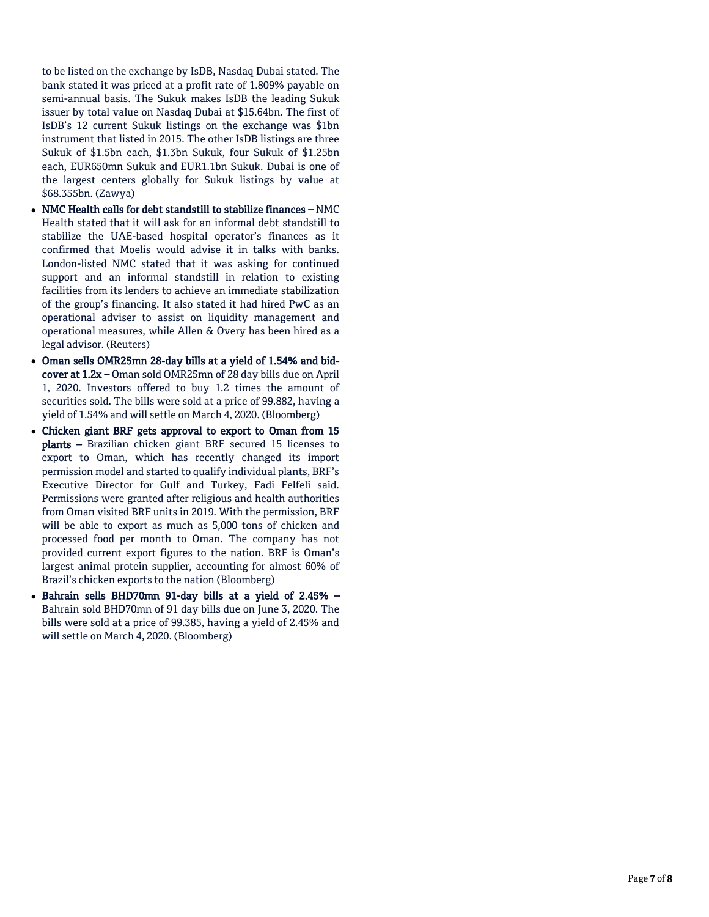to be listed on the exchange by IsDB, Nasdaq Dubai stated. The bank stated it was priced at a profit rate of 1.809% payable on semi -annual basis. The Sukuk makes IsDB the leading Sukuk issuer by total value on Nasdaq Dubai at \$15.64bn. The first of IsDB's 12 current Sukuk listings on the exchange was \$1bn instrument that listed in 2015. The other IsDB listings are three Sukuk of \$1.5bn each, \$1.3bn Sukuk, four Sukuk of \$1.25bn each, EUR650mn Sukuk and EUR1.1bn Sukuk. Dubai is one of the largest centers globally for Sukuk listings by value at \$68.355bn. (Zawya)

- NMC Health calls for debt standstill to stabilize finances NMC Health stated that it will ask for an informal debt standstill to stabilize the UAE -based hospital operator's finances as it confirmed that Moelis would advise it in talks with banks. London -listed NMC stated that it was asking for continued support and an informal standstill in relation to existing facilities from its lenders to achieve an immediate stabilization of the group's financing. It also stated it had hired PwC as an operational adviser to assist on liquidity management and operational measures, while Allen & Overy has been hired as a legal advisor. (Reuters)
- Oman sells OMR25mn 28-day bills at a yield of 1.54% and bidcover at  $1.2x$  – Oman sold OMR25mn of 28 day bills due on April 1, 2020. Investors offered to buy 1.2 times the amount of securities sold. The bills were sold at a price of 99.882, having a yield of 1.54% and will settle on March 4, 2020. (Bloomberg)
- Chicken giant BRF gets approval to export to Oman from 15 plants – Brazilian chicken giant BRF secured 15 licenses to export to Oman, which has recently changed its import permission model and started to qualify individual plants, BRF's Executive Director for Gulf and Turkey, Fadi Felfeli said. Permissions were granted after religious and health authorities from Oman visited BRF units in 2019. With the permission, BRF will be able to export as much as 5,000 tons of chicken and processed food per month to Oman. The company has not provided current export figures to the nation. BRF is Oman's largest animal protein supplier, accounting for almost 60% of Brazil's chicken exports to the nation (Bloomberg)
- Bahrain sells BHD70mn 91-day bills at a yield of 2.45% -Bahrain sold BHD70mn of 91 day bills due on June 3, 2020. The bills were sold at a price of 99.385, having a yield of 2.45% and will settle on March 4, 2020. (Bloomberg)